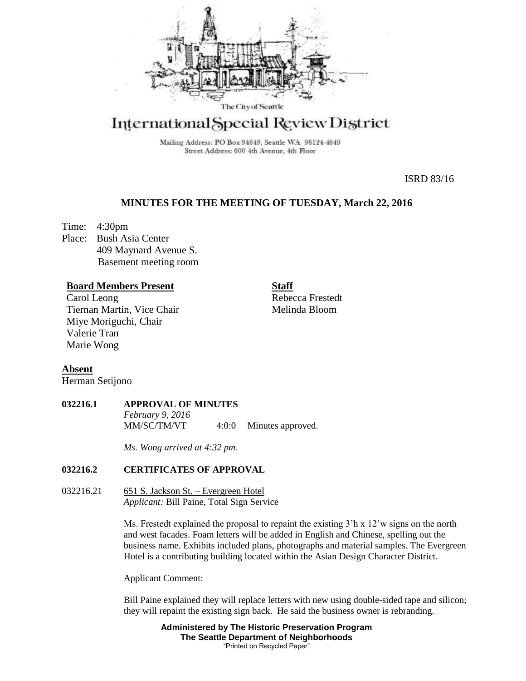

# International Special Review District

Mailing Address: PO Box 94649, Seattle WA 98124-4649 Street Address: 600 4th Avenue, 4th Floor

ISRD 83/16

# **MINUTES FOR THE MEETING OF TUESDAY, March 22, 2016**

Time: 4:30pm Place: Bush Asia Center 409 Maynard Avenue S. Basement meeting room

# **Board Members Present**

Carol Leong Tiernan Martin, Vice Chair Miye Moriguchi, Chair Valerie Tran Marie Wong

**Staff** Rebecca Frestedt Melinda Bloom

# **Absent**

Herman Setijono

## **032216.1 APPROVAL OF MINUTES**

*February 9, 2016* 4:0:0 Minutes approved.

*Ms. Wong arrived at 4:32 pm.*

# **032216.2 CERTIFICATES OF APPROVAL**

032216.21 651 S. Jackson St. – Evergreen Hotel *Applicant:* Bill Paine, Total Sign Service

> Ms. Frestedt explained the proposal to repaint the existing 3<sup>'h</sup> x 12'w signs on the north and west facades. Foam letters will be added in English and Chinese, spelling out the business name. Exhibits included plans, photographs and material samples. The Evergreen Hotel is a contributing building located within the Asian Design Character District.

Applicant Comment:

Bill Paine explained they will replace letters with new using double-sided tape and silicon; they will repaint the existing sign back. He said the business owner is rebranding.

> **Administered by The Historic Preservation Program The Seattle Department of Neighborhoods** "Printed on Recycled Paper"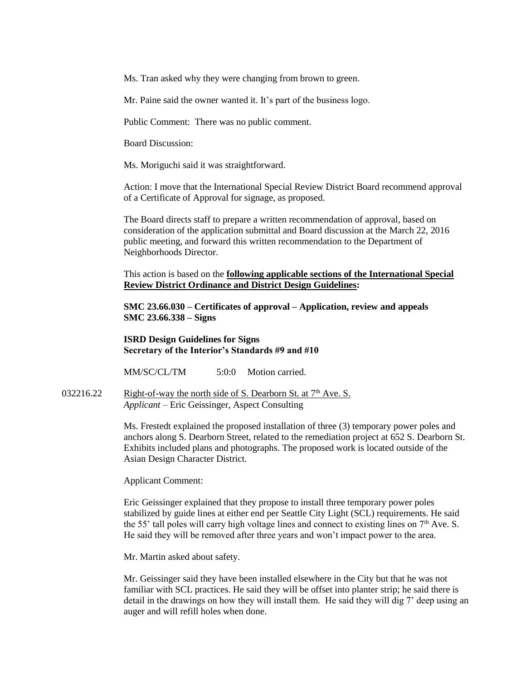Ms. Tran asked why they were changing from brown to green.

Mr. Paine said the owner wanted it. It's part of the business logo.

Public Comment: There was no public comment.

Board Discussion:

Ms. Moriguchi said it was straightforward.

Action: I move that the International Special Review District Board recommend approval of a Certificate of Approval for signage, as proposed.

The Board directs staff to prepare a written recommendation of approval, based on consideration of the application submittal and Board discussion at the March 22, 2016 public meeting, and forward this written recommendation to the Department of Neighborhoods Director.

This action is based on the **following applicable sections of the International Special Review District Ordinance and District Design Guidelines:** 

**SMC 23.66.030 – Certificates of approval – Application, review and appeals SMC 23.66.338 – Signs**

**ISRD Design Guidelines for Signs Secretary of the Interior's Standards #9 and #10**

MM/SC/CL/TM 5:0:0 Motion carried.

032216.22 Right-of-way the north side of S. Dearborn St. at  $7<sup>th</sup>$  Ave. S. *Applicant –* Eric Geissinger, Aspect Consulting

> Ms. Frestedt explained the proposed installation of three (3) temporary power poles and anchors along S. Dearborn Street, related to the remediation project at 652 S. Dearborn St. Exhibits included plans and photographs. The proposed work is located outside of the Asian Design Character District.

Applicant Comment:

Eric Geissinger explained that they propose to install three temporary power poles stabilized by guide lines at either end per Seattle City Light (SCL) requirements. He said the 55' tall poles will carry high voltage lines and connect to existing lines on  $7<sup>th</sup>$  Ave. S. He said they will be removed after three years and won't impact power to the area.

Mr. Martin asked about safety.

Mr. Geissinger said they have been installed elsewhere in the City but that he was not familiar with SCL practices. He said they will be offset into planter strip; he said there is detail in the drawings on how they will install them. He said they will dig 7' deep using an auger and will refill holes when done.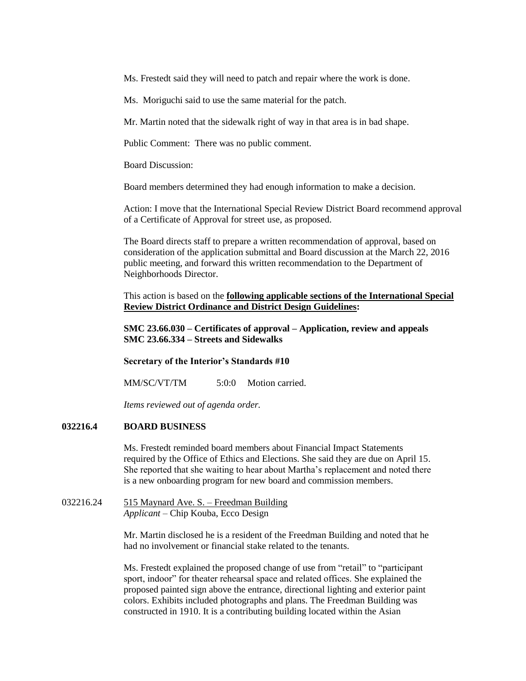Ms. Frestedt said they will need to patch and repair where the work is done.

Ms. Moriguchi said to use the same material for the patch.

Mr. Martin noted that the sidewalk right of way in that area is in bad shape.

Public Comment: There was no public comment.

Board Discussion:

Board members determined they had enough information to make a decision.

Action: I move that the International Special Review District Board recommend approval of a Certificate of Approval for street use, as proposed.

The Board directs staff to prepare a written recommendation of approval, based on consideration of the application submittal and Board discussion at the March 22, 2016 public meeting, and forward this written recommendation to the Department of Neighborhoods Director.

This action is based on the **following applicable sections of the International Special Review District Ordinance and District Design Guidelines:** 

**SMC 23.66.030 – Certificates of approval – Application, review and appeals SMC 23.66.334 – Streets and Sidewalks**

**Secretary of the Interior's Standards #10**

MM/SC/VT/TM 5:0:0 Motion carried.

*Items reviewed out of agenda order.*

## **032216.4 BOARD BUSINESS**

Ms. Frestedt reminded board members about Financial Impact Statements required by the Office of Ethics and Elections. She said they are due on April 15. She reported that she waiting to hear about Martha's replacement and noted there is a new onboarding program for new board and commission members.

032216.24 515 Maynard Ave. S. – Freedman Building *Applicant –* Chip Kouba, Ecco Design

> Mr. Martin disclosed he is a resident of the Freedman Building and noted that he had no involvement or financial stake related to the tenants.

> Ms. Frestedt explained the proposed change of use from "retail" to "participant sport, indoor" for theater rehearsal space and related offices. She explained the proposed painted sign above the entrance, directional lighting and exterior paint colors. Exhibits included photographs and plans. The Freedman Building was constructed in 1910. It is a contributing building located within the Asian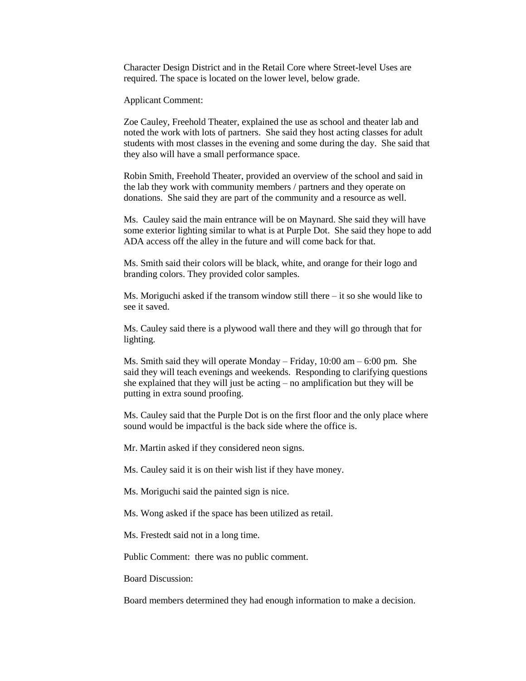Character Design District and in the Retail Core where Street-level Uses are required. The space is located on the lower level, below grade.

Applicant Comment:

Zoe Cauley, Freehold Theater, explained the use as school and theater lab and noted the work with lots of partners. She said they host acting classes for adult students with most classes in the evening and some during the day. She said that they also will have a small performance space.

Robin Smith, Freehold Theater, provided an overview of the school and said in the lab they work with community members / partners and they operate on donations. She said they are part of the community and a resource as well.

Ms. Cauley said the main entrance will be on Maynard. She said they will have some exterior lighting similar to what is at Purple Dot. She said they hope to add ADA access off the alley in the future and will come back for that.

Ms. Smith said their colors will be black, white, and orange for their logo and branding colors. They provided color samples.

Ms. Moriguchi asked if the transom window still there  $-$  it so she would like to see it saved.

Ms. Cauley said there is a plywood wall there and they will go through that for lighting.

Ms. Smith said they will operate Monday – Friday, 10:00 am – 6:00 pm. She said they will teach evenings and weekends. Responding to clarifying questions she explained that they will just be acting – no amplification but they will be putting in extra sound proofing.

Ms. Cauley said that the Purple Dot is on the first floor and the only place where sound would be impactful is the back side where the office is.

Mr. Martin asked if they considered neon signs.

Ms. Cauley said it is on their wish list if they have money.

Ms. Moriguchi said the painted sign is nice.

Ms. Wong asked if the space has been utilized as retail.

Ms. Frestedt said not in a long time.

Public Comment: there was no public comment.

Board Discussion:

Board members determined they had enough information to make a decision.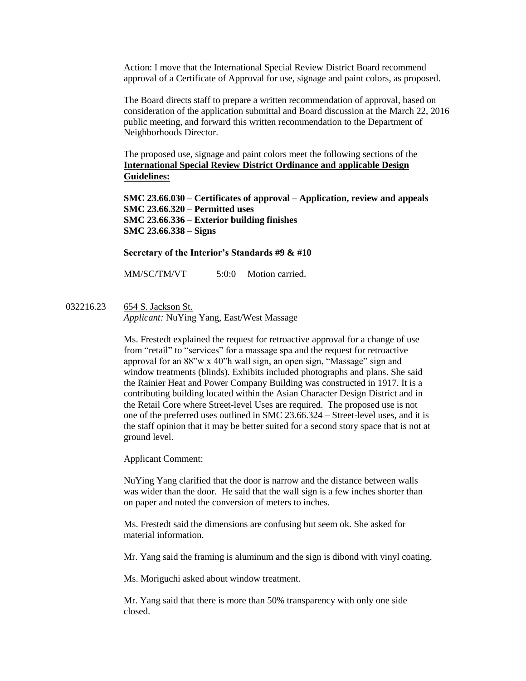Action: I move that the International Special Review District Board recommend approval of a Certificate of Approval for use, signage and paint colors, as proposed.

The Board directs staff to prepare a written recommendation of approval, based on consideration of the application submittal and Board discussion at the March 22, 2016 public meeting, and forward this written recommendation to the Department of Neighborhoods Director.

The proposed use, signage and paint colors meet the following sections of the **International Special Review District Ordinance and** a**pplicable Design Guidelines:**

**SMC 23.66.030 – Certificates of approval – Application, review and appeals SMC 23.66.320 – Permitted uses SMC 23.66.336 – Exterior building finishes SMC 23.66.338 – Signs**

#### **Secretary of the Interior's Standards #9 & #10**

MM/SC/TM/VT 5:0:0 Motion carried.

032216.23 654 S. Jackson St.

*Applicant:* NuYing Yang, East/West Massage

Ms. Frestedt explained the request for retroactive approval for a change of use from "retail" to "services" for a massage spa and the request for retroactive approval for an 88"w x 40"h wall sign, an open sign, "Massage" sign and window treatments (blinds). Exhibits included photographs and plans. She said the Rainier Heat and Power Company Building was constructed in 1917. It is a contributing building located within the Asian Character Design District and in the Retail Core where Street-level Uses are required. The proposed use is not one of the preferred uses outlined in SMC 23.66.324 – Street-level uses, and it is the staff opinion that it may be better suited for a second story space that is not at ground level.

Applicant Comment:

NuYing Yang clarified that the door is narrow and the distance between walls was wider than the door. He said that the wall sign is a few inches shorter than on paper and noted the conversion of meters to inches.

Ms. Frestedt said the dimensions are confusing but seem ok. She asked for material information.

Mr. Yang said the framing is aluminum and the sign is dibond with vinyl coating.

Ms. Moriguchi asked about window treatment.

Mr. Yang said that there is more than 50% transparency with only one side closed.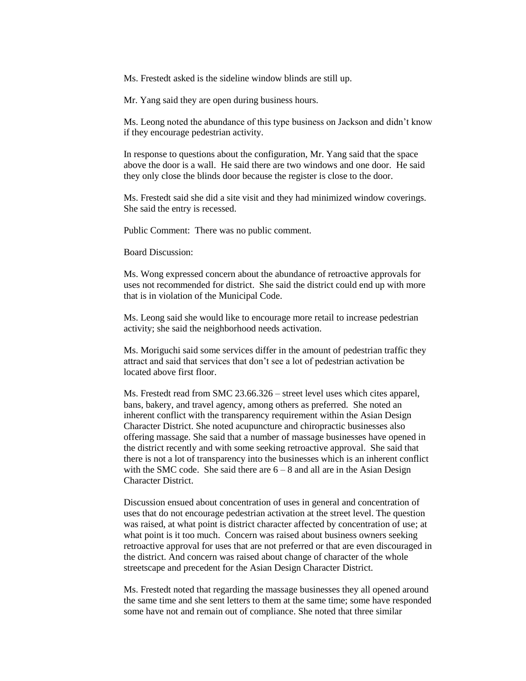Ms. Frestedt asked is the sideline window blinds are still up.

Mr. Yang said they are open during business hours.

Ms. Leong noted the abundance of this type business on Jackson and didn't know if they encourage pedestrian activity.

In response to questions about the configuration, Mr. Yang said that the space above the door is a wall. He said there are two windows and one door. He said they only close the blinds door because the register is close to the door.

Ms. Frestedt said she did a site visit and they had minimized window coverings. She said the entry is recessed.

Public Comment: There was no public comment.

Board Discussion:

Ms. Wong expressed concern about the abundance of retroactive approvals for uses not recommended for district. She said the district could end up with more that is in violation of the Municipal Code.

Ms. Leong said she would like to encourage more retail to increase pedestrian activity; she said the neighborhood needs activation.

Ms. Moriguchi said some services differ in the amount of pedestrian traffic they attract and said that services that don't see a lot of pedestrian activation be located above first floor.

Ms. Frestedt read from SMC 23.66.326 – street level uses which cites apparel, bans, bakery, and travel agency, among others as preferred. She noted an inherent conflict with the transparency requirement within the Asian Design Character District. She noted acupuncture and chiropractic businesses also offering massage. She said that a number of massage businesses have opened in the district recently and with some seeking retroactive approval. She said that there is not a lot of transparency into the businesses which is an inherent conflict with the SMC code. She said there are  $6 - 8$  and all are in the Asian Design Character District.

Discussion ensued about concentration of uses in general and concentration of uses that do not encourage pedestrian activation at the street level. The question was raised, at what point is district character affected by concentration of use; at what point is it too much. Concern was raised about business owners seeking retroactive approval for uses that are not preferred or that are even discouraged in the district. And concern was raised about change of character of the whole streetscape and precedent for the Asian Design Character District.

Ms. Frestedt noted that regarding the massage businesses they all opened around the same time and she sent letters to them at the same time; some have responded some have not and remain out of compliance. She noted that three similar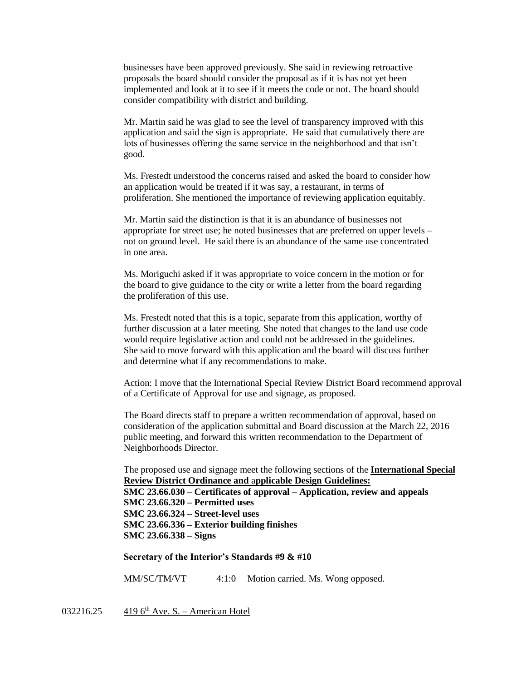businesses have been approved previously. She said in reviewing retroactive proposals the board should consider the proposal as if it is has not yet been implemented and look at it to see if it meets the code or not. The board should consider compatibility with district and building.

Mr. Martin said he was glad to see the level of transparency improved with this application and said the sign is appropriate. He said that cumulatively there are lots of businesses offering the same service in the neighborhood and that isn't good.

Ms. Frestedt understood the concerns raised and asked the board to consider how an application would be treated if it was say, a restaurant, in terms of proliferation. She mentioned the importance of reviewing application equitably.

Mr. Martin said the distinction is that it is an abundance of businesses not appropriate for street use; he noted businesses that are preferred on upper levels – not on ground level. He said there is an abundance of the same use concentrated in one area.

Ms. Moriguchi asked if it was appropriate to voice concern in the motion or for the board to give guidance to the city or write a letter from the board regarding the proliferation of this use.

Ms. Frestedt noted that this is a topic, separate from this application, worthy of further discussion at a later meeting. She noted that changes to the land use code would require legislative action and could not be addressed in the guidelines. She said to move forward with this application and the board will discuss further and determine what if any recommendations to make.

Action: I move that the International Special Review District Board recommend approval of a Certificate of Approval for use and signage, as proposed.

The Board directs staff to prepare a written recommendation of approval, based on consideration of the application submittal and Board discussion at the March 22, 2016 public meeting, and forward this written recommendation to the Department of Neighborhoods Director.

The proposed use and signage meet the following sections of the **International Special Review District Ordinance and** a**pplicable Design Guidelines:**

**SMC 23.66.030 – Certificates of approval – Application, review and appeals SMC 23.66.320 – Permitted uses SMC 23.66.324 – Street-level uses SMC 23.66.336 – Exterior building finishes SMC 23.66.338 – Signs**

**Secretary of the Interior's Standards #9 & #10**

MM/SC/TM/VT 4:1:0 Motion carried. Ms. Wong opposed.

032216.25 419 6<sup>th</sup> Ave. S. – American Hotel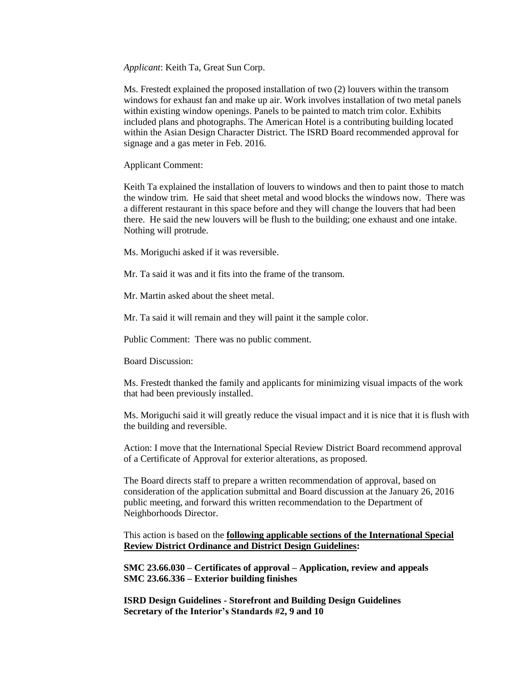*Applicant*: Keith Ta, Great Sun Corp.

Ms. Frestedt explained the proposed installation of two (2) louvers within the transom windows for exhaust fan and make up air. Work involves installation of two metal panels within existing window openings. Panels to be painted to match trim color. Exhibits included plans and photographs. The American Hotel is a contributing building located within the Asian Design Character District. The ISRD Board recommended approval for signage and a gas meter in Feb. 2016.

Applicant Comment:

Keith Ta explained the installation of louvers to windows and then to paint those to match the window trim. He said that sheet metal and wood blocks the windows now. There was a different restaurant in this space before and they will change the louvers that had been there. He said the new louvers will be flush to the building; one exhaust and one intake. Nothing will protrude.

Ms. Moriguchi asked if it was reversible.

Mr. Ta said it was and it fits into the frame of the transom.

Mr. Martin asked about the sheet metal.

Mr. Ta said it will remain and they will paint it the sample color.

Public Comment: There was no public comment.

Board Discussion:

Ms. Frestedt thanked the family and applicants for minimizing visual impacts of the work that had been previously installed.

Ms. Moriguchi said it will greatly reduce the visual impact and it is nice that it is flush with the building and reversible.

Action: I move that the International Special Review District Board recommend approval of a Certificate of Approval for exterior alterations, as proposed.

The Board directs staff to prepare a written recommendation of approval, based on consideration of the application submittal and Board discussion at the January 26, 2016 public meeting, and forward this written recommendation to the Department of Neighborhoods Director.

This action is based on the **following applicable sections of the International Special Review District Ordinance and District Design Guidelines:** 

**SMC 23.66.030 – Certificates of approval – Application, review and appeals SMC 23.66.336 – Exterior building finishes**

**ISRD Design Guidelines - Storefront and Building Design Guidelines Secretary of the Interior's Standards #2, 9 and 10**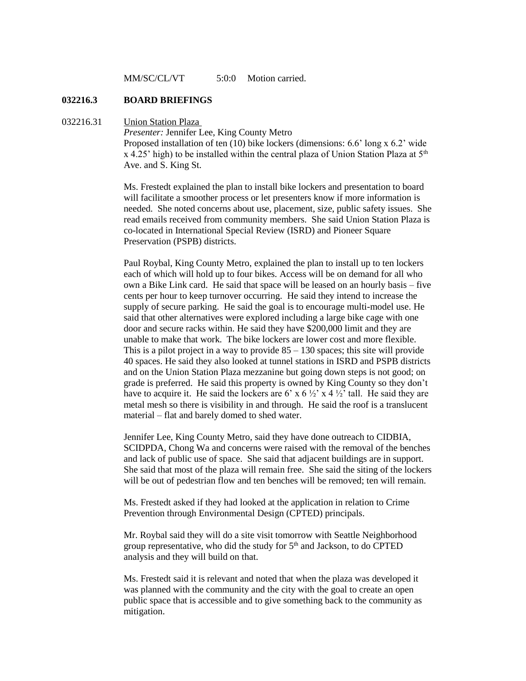MM/SC/CL/VT 5:0:0 Motion carried.

#### **032216.3 BOARD BRIEFINGS**

#### 032216.31 Union Station Plaza

*Presenter:* Jennifer Lee, King County Metro Proposed installation of ten (10) bike lockers (dimensions: 6.6' long x 6.2' wide  $x$  4.25' high) to be installed within the central plaza of Union Station Plaza at  $5<sup>th</sup>$ Ave. and S. King St.

Ms. Frestedt explained the plan to install bike lockers and presentation to board will facilitate a smoother process or let presenters know if more information is needed. She noted concerns about use, placement, size, public safety issues. She read emails received from community members. She said Union Station Plaza is co-located in International Special Review (ISRD) and Pioneer Square Preservation (PSPB) districts.

Paul Roybal, King County Metro, explained the plan to install up to ten lockers each of which will hold up to four bikes. Access will be on demand for all who own a Bike Link card. He said that space will be leased on an hourly basis – five cents per hour to keep turnover occurring. He said they intend to increase the supply of secure parking. He said the goal is to encourage multi-model use. He said that other alternatives were explored including a large bike cage with one door and secure racks within. He said they have \$200,000 limit and they are unable to make that work. The bike lockers are lower cost and more flexible. This is a pilot project in a way to provide  $85 - 130$  spaces; this site will provide 40 spaces. He said they also looked at tunnel stations in ISRD and PSPB districts and on the Union Station Plaza mezzanine but going down steps is not good; on grade is preferred. He said this property is owned by King County so they don't have to acquire it. He said the lockers are  $6'$  x  $6\frac{1}{2}$  x 4  $\frac{1}{2}$  tall. He said they are metal mesh so there is visibility in and through. He said the roof is a translucent material – flat and barely domed to shed water.

Jennifer Lee, King County Metro, said they have done outreach to CIDBIA, SCIDPDA, Chong Wa and concerns were raised with the removal of the benches and lack of public use of space. She said that adjacent buildings are in support. She said that most of the plaza will remain free. She said the siting of the lockers will be out of pedestrian flow and ten benches will be removed; ten will remain.

Ms. Frestedt asked if they had looked at the application in relation to Crime Prevention through Environmental Design (CPTED) principals.

Mr. Roybal said they will do a site visit tomorrow with Seattle Neighborhood group representative, who did the study for  $5<sup>th</sup>$  and Jackson, to do CPTED analysis and they will build on that.

Ms. Frestedt said it is relevant and noted that when the plaza was developed it was planned with the community and the city with the goal to create an open public space that is accessible and to give something back to the community as mitigation.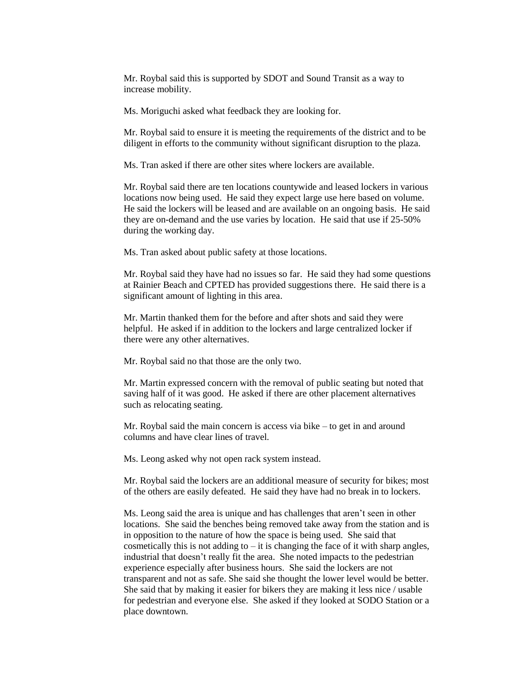Mr. Roybal said this is supported by SDOT and Sound Transit as a way to increase mobility.

Ms. Moriguchi asked what feedback they are looking for.

Mr. Roybal said to ensure it is meeting the requirements of the district and to be diligent in efforts to the community without significant disruption to the plaza.

Ms. Tran asked if there are other sites where lockers are available.

Mr. Roybal said there are ten locations countywide and leased lockers in various locations now being used. He said they expect large use here based on volume. He said the lockers will be leased and are available on an ongoing basis. He said they are on-demand and the use varies by location. He said that use if 25-50% during the working day.

Ms. Tran asked about public safety at those locations.

Mr. Roybal said they have had no issues so far. He said they had some questions at Rainier Beach and CPTED has provided suggestions there. He said there is a significant amount of lighting in this area.

Mr. Martin thanked them for the before and after shots and said they were helpful. He asked if in addition to the lockers and large centralized locker if there were any other alternatives.

Mr. Roybal said no that those are the only two.

Mr. Martin expressed concern with the removal of public seating but noted that saving half of it was good. He asked if there are other placement alternatives such as relocating seating.

Mr. Roybal said the main concern is access via bike – to get in and around columns and have clear lines of travel.

Ms. Leong asked why not open rack system instead.

Mr. Roybal said the lockers are an additional measure of security for bikes; most of the others are easily defeated. He said they have had no break in to lockers.

Ms. Leong said the area is unique and has challenges that aren't seen in other locations. She said the benches being removed take away from the station and is in opposition to the nature of how the space is being used. She said that cosmetically this is not adding to  $-$  it is changing the face of it with sharp angles, industrial that doesn't really fit the area. She noted impacts to the pedestrian experience especially after business hours. She said the lockers are not transparent and not as safe. She said she thought the lower level would be better. She said that by making it easier for bikers they are making it less nice / usable for pedestrian and everyone else. She asked if they looked at SODO Station or a place downtown.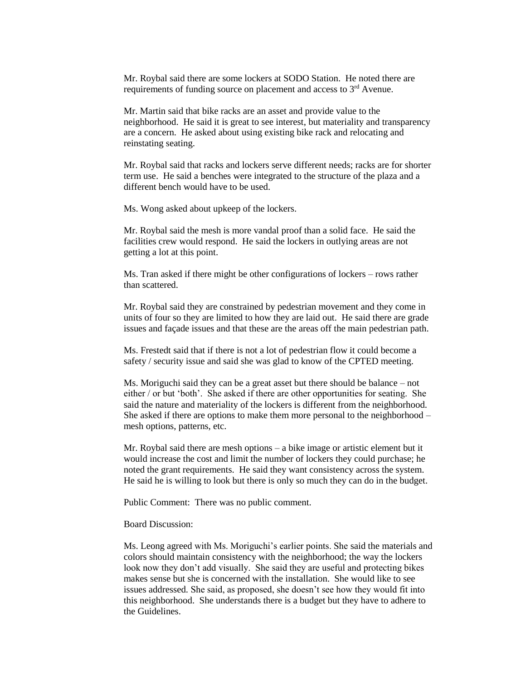Mr. Roybal said there are some lockers at SODO Station. He noted there are requirements of funding source on placement and access to 3<sup>rd</sup> Avenue.

Mr. Martin said that bike racks are an asset and provide value to the neighborhood. He said it is great to see interest, but materiality and transparency are a concern. He asked about using existing bike rack and relocating and reinstating seating.

Mr. Roybal said that racks and lockers serve different needs; racks are for shorter term use. He said a benches were integrated to the structure of the plaza and a different bench would have to be used.

Ms. Wong asked about upkeep of the lockers.

Mr. Roybal said the mesh is more vandal proof than a solid face. He said the facilities crew would respond. He said the lockers in outlying areas are not getting a lot at this point.

Ms. Tran asked if there might be other configurations of lockers – rows rather than scattered.

Mr. Roybal said they are constrained by pedestrian movement and they come in units of four so they are limited to how they are laid out. He said there are grade issues and façade issues and that these are the areas off the main pedestrian path.

Ms. Frestedt said that if there is not a lot of pedestrian flow it could become a safety / security issue and said she was glad to know of the CPTED meeting.

Ms. Moriguchi said they can be a great asset but there should be balance – not either / or but 'both'. She asked if there are other opportunities for seating. She said the nature and materiality of the lockers is different from the neighborhood. She asked if there are options to make them more personal to the neighborhood – mesh options, patterns, etc.

Mr. Roybal said there are mesh options – a bike image or artistic element but it would increase the cost and limit the number of lockers they could purchase; he noted the grant requirements. He said they want consistency across the system. He said he is willing to look but there is only so much they can do in the budget.

Public Comment: There was no public comment.

Board Discussion:

Ms. Leong agreed with Ms. Moriguchi's earlier points. She said the materials and colors should maintain consistency with the neighborhood; the way the lockers look now they don't add visually. She said they are useful and protecting bikes makes sense but she is concerned with the installation. She would like to see issues addressed. She said, as proposed, she doesn't see how they would fit into this neighborhood. She understands there is a budget but they have to adhere to the Guidelines.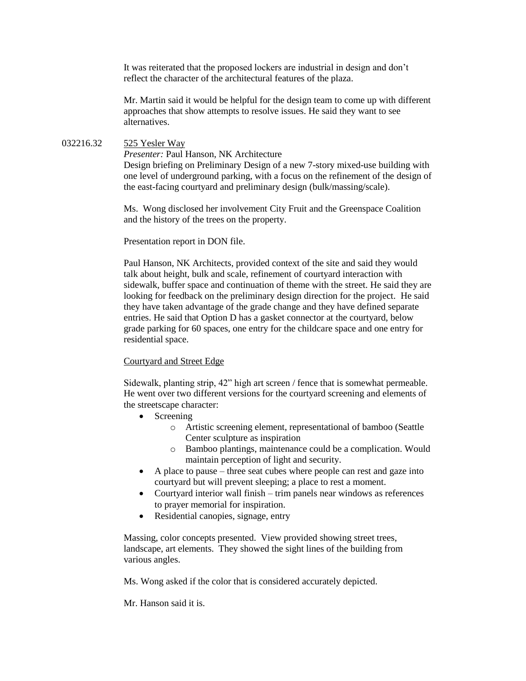It was reiterated that the proposed lockers are industrial in design and don't reflect the character of the architectural features of the plaza.

Mr. Martin said it would be helpful for the design team to come up with different approaches that show attempts to resolve issues. He said they want to see alternatives.

### 032216.32 525 Yesler Way

*Presenter:* Paul Hanson, NK Architecture Design briefing on Preliminary Design of a new 7-story mixed-use building with one level of underground parking, with a focus on the refinement of the design of the east-facing courtyard and preliminary design (bulk/massing/scale).

Ms. Wong disclosed her involvement City Fruit and the Greenspace Coalition and the history of the trees on the property.

## Presentation report in DON file.

Paul Hanson, NK Architects, provided context of the site and said they would talk about height, bulk and scale, refinement of courtyard interaction with sidewalk, buffer space and continuation of theme with the street. He said they are looking for feedback on the preliminary design direction for the project. He said they have taken advantage of the grade change and they have defined separate entries. He said that Option D has a gasket connector at the courtyard, below grade parking for 60 spaces, one entry for the childcare space and one entry for residential space.

## Courtyard and Street Edge

Sidewalk, planting strip, 42" high art screen / fence that is somewhat permeable. He went over two different versions for the courtyard screening and elements of the streetscape character:

- Screening
	- o Artistic screening element, representational of bamboo (Seattle Center sculpture as inspiration
	- o Bamboo plantings, maintenance could be a complication. Would maintain perception of light and security.
- A place to pause three seat cubes where people can rest and gaze into courtyard but will prevent sleeping; a place to rest a moment.
- Courtyard interior wall finish trim panels near windows as references to prayer memorial for inspiration.
- Residential canopies, signage, entry

Massing, color concepts presented. View provided showing street trees, landscape, art elements. They showed the sight lines of the building from various angles.

Ms. Wong asked if the color that is considered accurately depicted.

Mr. Hanson said it is.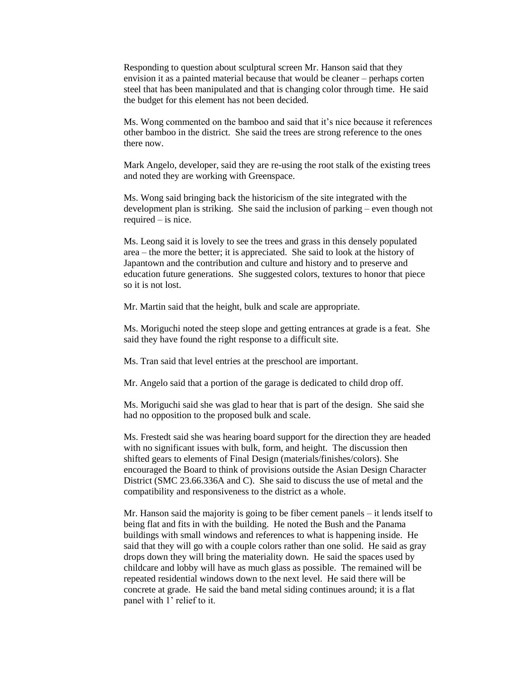Responding to question about sculptural screen Mr. Hanson said that they envision it as a painted material because that would be cleaner – perhaps corten steel that has been manipulated and that is changing color through time. He said the budget for this element has not been decided.

Ms. Wong commented on the bamboo and said that it's nice because it references other bamboo in the district. She said the trees are strong reference to the ones there now.

Mark Angelo, developer, said they are re-using the root stalk of the existing trees and noted they are working with Greenspace.

Ms. Wong said bringing back the historicism of the site integrated with the development plan is striking. She said the inclusion of parking – even though not required – is nice.

Ms. Leong said it is lovely to see the trees and grass in this densely populated area – the more the better; it is appreciated. She said to look at the history of Japantown and the contribution and culture and history and to preserve and education future generations. She suggested colors, textures to honor that piece so it is not lost.

Mr. Martin said that the height, bulk and scale are appropriate.

Ms. Moriguchi noted the steep slope and getting entrances at grade is a feat. She said they have found the right response to a difficult site.

Ms. Tran said that level entries at the preschool are important.

Mr. Angelo said that a portion of the garage is dedicated to child drop off.

Ms. Moriguchi said she was glad to hear that is part of the design. She said she had no opposition to the proposed bulk and scale.

Ms. Frestedt said she was hearing board support for the direction they are headed with no significant issues with bulk, form, and height. The discussion then shifted gears to elements of Final Design (materials/finishes/colors). She encouraged the Board to think of provisions outside the Asian Design Character District (SMC 23.66.336A and C). She said to discuss the use of metal and the compatibility and responsiveness to the district as a whole.

Mr. Hanson said the majority is going to be fiber cement panels – it lends itself to being flat and fits in with the building. He noted the Bush and the Panama buildings with small windows and references to what is happening inside. He said that they will go with a couple colors rather than one solid. He said as gray drops down they will bring the materiality down. He said the spaces used by childcare and lobby will have as much glass as possible. The remained will be repeated residential windows down to the next level. He said there will be concrete at grade. He said the band metal siding continues around; it is a flat panel with 1' relief to it.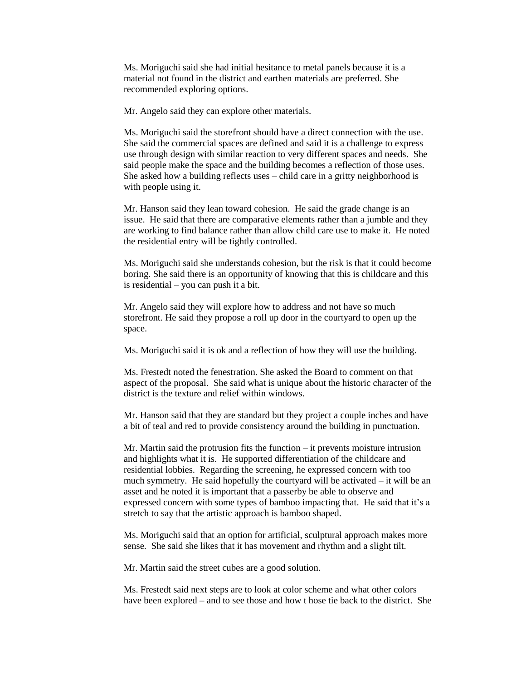Ms. Moriguchi said she had initial hesitance to metal panels because it is a material not found in the district and earthen materials are preferred. She recommended exploring options.

Mr. Angelo said they can explore other materials.

Ms. Moriguchi said the storefront should have a direct connection with the use. She said the commercial spaces are defined and said it is a challenge to express use through design with similar reaction to very different spaces and needs. She said people make the space and the building becomes a reflection of those uses. She asked how a building reflects uses – child care in a gritty neighborhood is with people using it.

Mr. Hanson said they lean toward cohesion. He said the grade change is an issue. He said that there are comparative elements rather than a jumble and they are working to find balance rather than allow child care use to make it. He noted the residential entry will be tightly controlled.

Ms. Moriguchi said she understands cohesion, but the risk is that it could become boring. She said there is an opportunity of knowing that this is childcare and this is residential – you can push it a bit.

Mr. Angelo said they will explore how to address and not have so much storefront. He said they propose a roll up door in the courtyard to open up the space.

Ms. Moriguchi said it is ok and a reflection of how they will use the building.

Ms. Frestedt noted the fenestration. She asked the Board to comment on that aspect of the proposal. She said what is unique about the historic character of the district is the texture and relief within windows.

Mr. Hanson said that they are standard but they project a couple inches and have a bit of teal and red to provide consistency around the building in punctuation.

Mr. Martin said the protrusion fits the function – it prevents moisture intrusion and highlights what it is. He supported differentiation of the childcare and residential lobbies. Regarding the screening, he expressed concern with too much symmetry. He said hopefully the courtyard will be activated – it will be an asset and he noted it is important that a passerby be able to observe and expressed concern with some types of bamboo impacting that. He said that it's a stretch to say that the artistic approach is bamboo shaped.

Ms. Moriguchi said that an option for artificial, sculptural approach makes more sense. She said she likes that it has movement and rhythm and a slight tilt.

Mr. Martin said the street cubes are a good solution.

Ms. Frestedt said next steps are to look at color scheme and what other colors have been explored – and to see those and how t hose tie back to the district. She